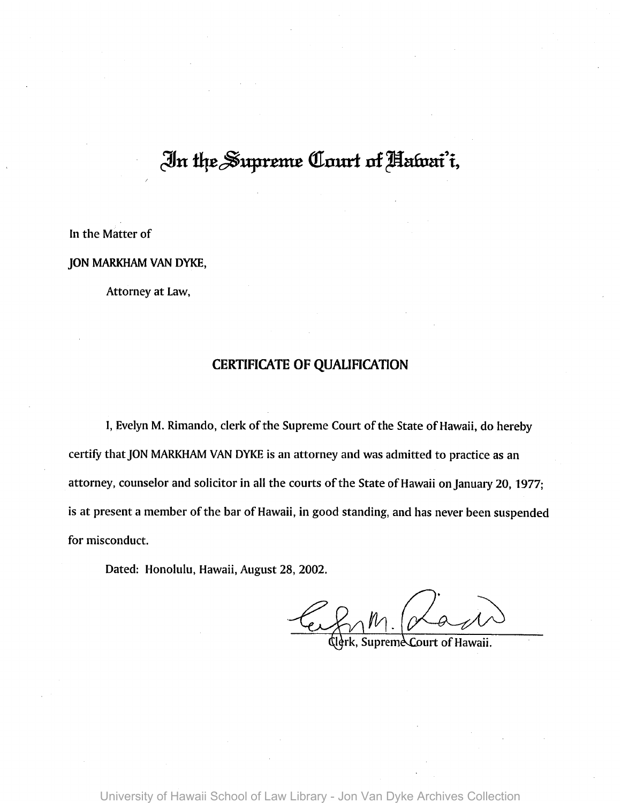# In the Supreme Court of Hawai'i,

In the Matter of

JON MARKHAM VAN DYKE,

Attorney at Law,

# **CERTIFICATE OF QUALIFICATION**

I, Evelyn M. Rimando, clerk of the Supreme Court of the State of Hawaii, do hereby certify that JON MARKHAM VAN DYKE is an attorney and was admitted to practice as an attorney, counselor and solicitor in all the courts of the State of Hawaii on january 20, 1977; is at present a member of the bar of Hawaii, in good standing, and has never been suspended for misconduct.

Dated: Honolulu, Hawaii, August 28, 2002.

Supreme Court of Hawaii.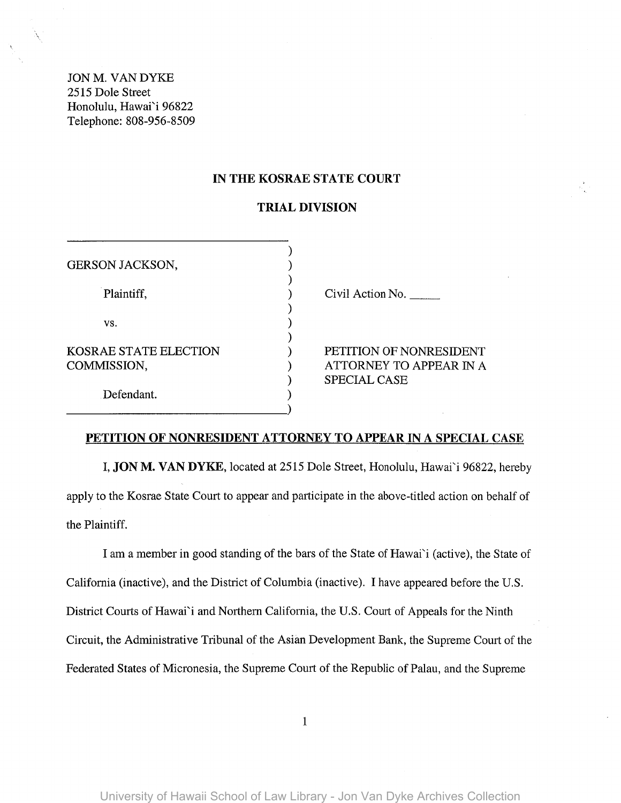JON M. VAN DYKE 2515 Dole Street Honolulu, Hawai'i 96822 Telephone: 808-956-8509

# **IN THE KOSRAE STATE COURT**

#### **TRIAL DIVISION**

| <b>GERSON JACKSON,</b>                      |  |
|---------------------------------------------|--|
| Plaintiff,                                  |  |
| VS.                                         |  |
| <b>KOSRAE STATE ELECTION</b><br>COMMISSION, |  |
| Defendant.                                  |  |
|                                             |  |

Civil Action No.

PETITION OF NONRESIDENT ATTORNEY TO APPEAR IN A SPECIAL CASE

# **PETITION OF NONRESIDENT ATTORNEY TO APPEAR IN A SPECIAL CASE**

I, **JON M. VAN DYKE,** located at 2515 Dole Street, Honolulu, Hawai'i 96822, hereby apply to the Kosrae State Court to appear and participate in the above-titled action on behalf of the Plaintiff.

I am a member in good standing of the bars of the State of Hawai'i (active), the State of California (inactive), and the District of Columbia (inactive). I have appeared before the U.S. District Courts of Hawai'i and Northern California, the U.S. Court of Appeals for the Ninth Circuit, the Administrative Tribunal of the Asian Development Bank, the Supreme Court of the Federated States of Micronesia, the Supreme Court of the Republic of Palau, and the Supreme

1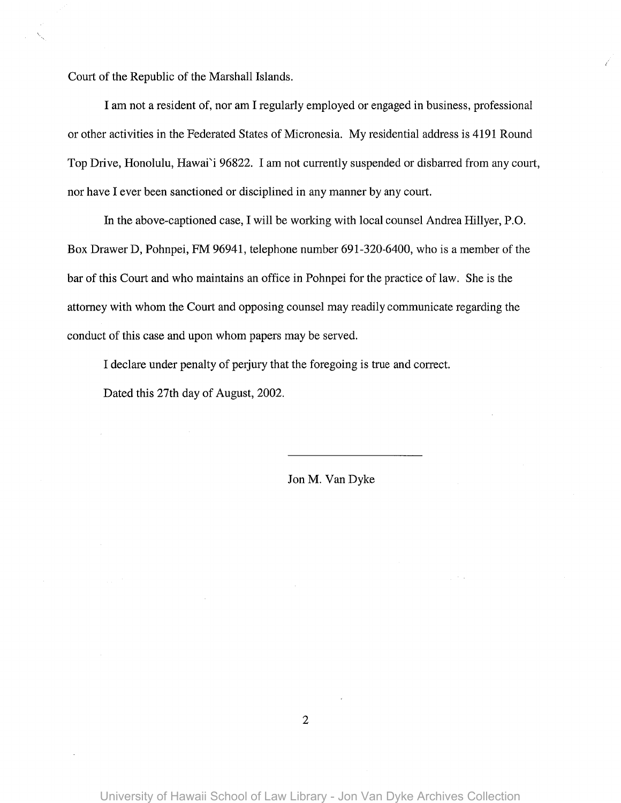Court of the Republic of the Marshall Islands.

I am not a resident of, nor am I regularly employed or engaged in business, professional or other activities in the Federated States of Micronesia. My residential address is 4191 Round Top Drive, Honolulu, Hawai'i 96822. I am not currently suspended or disbarred from any court, nor have I ever been sanctioned or disciplined in any manner by any court.

In the above-captioned case, I will be working with local counsel Andrea Hillyer, P.O. Box Drawer D, Pohnpei, FM 96941, telephone number 691-320-6400, who is a member of the bar of this Court and who maintains an office in Pohnpei for the practice of law. She is the attorney with whom the Court and opposing counsel may readily communicate regarding the conduct of this case and upon whom papers may be served.

I declare under penalty of perjury that the foregoing is true and correct.

Dated this 27th day of August, 2002.

Jon M. Van Dyke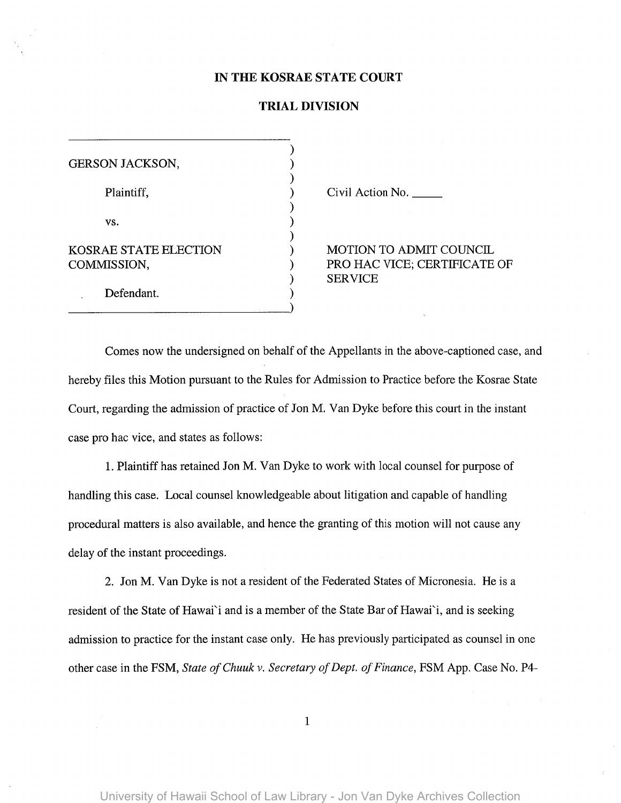#### IN THE KOSRAE STATE COURT

# TRIAL DIVISION

| <b>GERSON JACKSON,</b>                      |  |
|---------------------------------------------|--|
| Plaintiff,                                  |  |
| VS.                                         |  |
| <b>KOSRAE STATE ELECTION</b><br>COMMISSION, |  |
| Defendant.                                  |  |
|                                             |  |

Civil Action No.

MOTION TO ADMIT COUNCIL PRO HAC VICE; CERTIFICATE OF SERVICE

Comes now the undersigned on behalf of the Appellants in the above-captioned case, and hereby files this Motion pursuant to the Rules for Admission to Practice before the Kosrae State Court, regarding the admission of practice of Jon M. Van Dyke before this court in the instant case pro hac vice, and states as follows:

1. Plaintiff has retained Jon M. Van Dyke to work with local counsel for purpose of handling this case. Local counsel knowledgeable about litigation and capable of handling procedural matters is also available, and hence the granting of this motion will not cause any delay of the instant proceedings.

2. Jon M. Van Dyke is not a resident of the Federated States of Micronesia. He is a resident of the State of Hawai'i and is a member of the State Bar of Hawai'i, and is seeking admission to practice for the instant case only. He has previously participated as counsel in one other case in the FSM, *State of Chuuk* v. *Secretary of Dept. of Finance,* FSM App. Case No. P4-

1